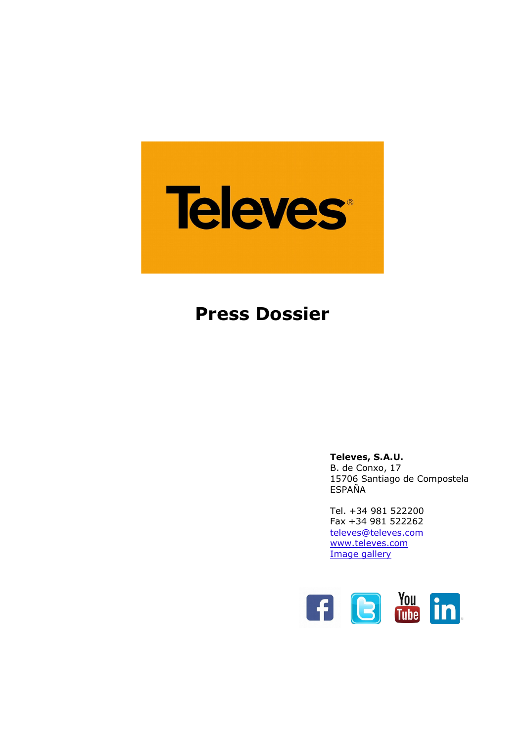

# **Press Dossier**

**Televes, S.A.U.** B. de Conxo, 17 15706 Santiago de Compostela ESPAÑA

Tel. +34 981 522200 Fax +34 981 522262 [televes@televes.com](mailto:televes@televes.com) [www.televes.com](http://www.televes.com/en/eng/home) Image [gallery](http://www.televes.com/en/prensa/banco-de-imagenes)

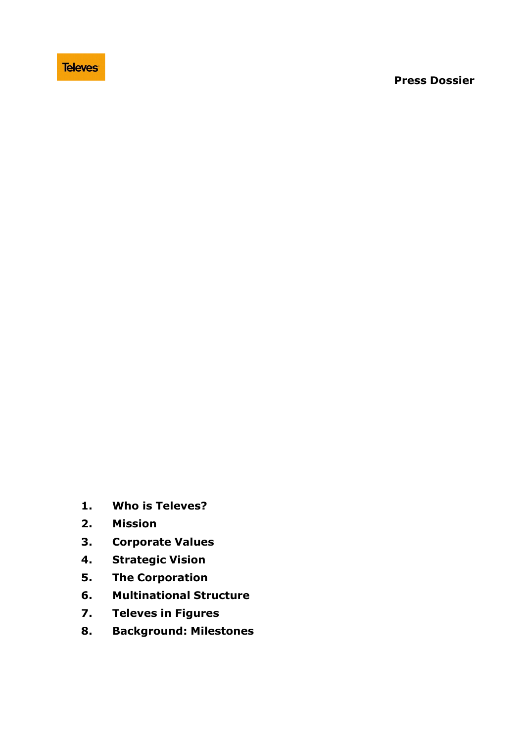#### **Press Dossier**

- **1. Who is Televes?**
- **2. Mission**
- **3. Corporate Values**
- **4. Strategic Vision**
- **5. The Corporation**
- **6. Multinational Structure**
- **7. Televes in Figures**
- **8. Background: Milestones**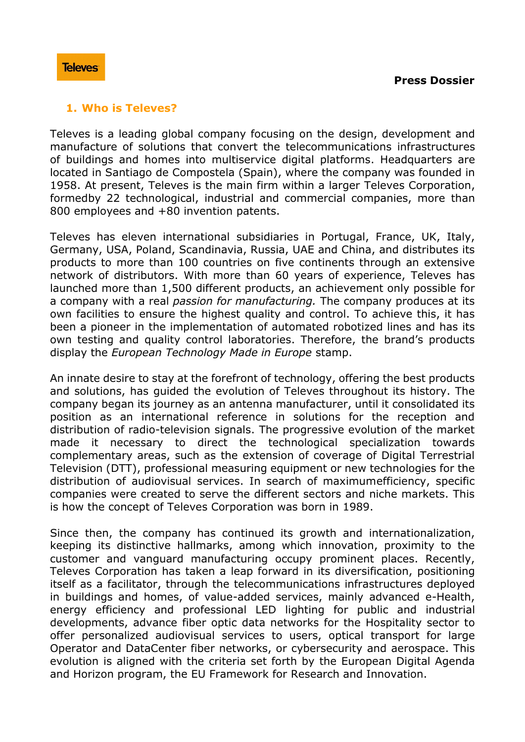## **1. Who is Televes?**

Televes is a leading global company focusing on the design, development and manufacture of solutions that convert the telecommunications infrastructures of buildings and homes into multiservice digital platforms. Headquarters are located in Santiago de Compostela (Spain), where the company was founded in 1958. At present, Televes is the main firm within a larger Televes Corporation, formedby 22 technological, industrial and commercial companies, more than 800 employees and +80 invention patents.

Televes has eleven international subsidiaries in Portugal, France, UK, Italy, Germany, USA, Poland, Scandinavia, Russia, UAE and China, and distributes its products to more than 100 countries on five continents through an extensive network of distributors. With more than 60 years of experience, Televes has launched more than 1,500 different products, an achievement only possible for a company with a real *passion for manufacturing.* The company produces at its own facilities to ensure the highest quality and control. To achieve this, it has been a pioneer in the implementation of automated robotized lines and has its own testing and quality control laboratories. Therefore, the brand's products display the *European Technology Made in Europe* stamp.

An innate desire to stay at the forefront of technology, offering the best products and solutions, has guided the evolution of Televes throughout its history. The company began its journey as an antenna manufacturer, until it consolidated its position as an international reference in solutions for the reception and distribution of radio-television signals. The progressive evolution of the market made it necessary to direct the technological specialization towards complementary areas, such as the extension of coverage of Digital Terrestrial Television (DTT), professional measuring equipment or new technologies for the distribution of audiovisual services. In search of maximumefficiency, specific companies were created to serve the different sectors and niche markets. This is how the concept of Televes Corporation was born in 1989.

Since then, the company has continued its growth and internationalization, keeping its distinctive hallmarks, among which innovation, proximity to the customer and vanguard manufacturing occupy prominent places. Recently, Televes Corporation has taken a leap forward in its diversification, positioning itself as a facilitator, through the telecommunications infrastructures deployed in buildings and homes, of value-added services, mainly advanced e-Health, energy efficiency and professional LED lighting for public and industrial developments, advance fiber optic data networks for the Hospitality sector to offer personalized audiovisual services to users, optical transport for large Operator and DataCenter fiber networks, or cybersecurity and aerospace. This evolution is aligned with the criteria set forth by the European Digital Agenda and Horizon program, the EU Framework for Research and Innovation.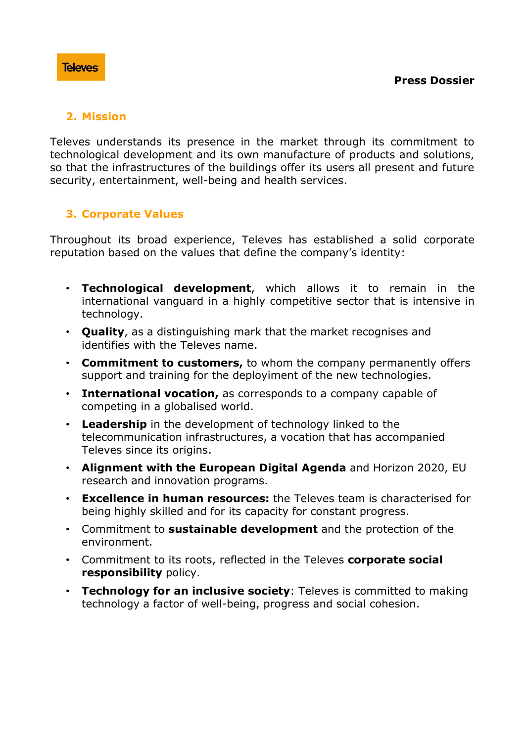# **2. Mission**

Televes understands its presence in the market through its commitment to technological development and its own manufacture of products and solutions, so that the infrastructures of the buildings offer its users all present and future security, entertainment, well-being and health services.

# **3. Corporate Values**

Throughout its broad experience, Televes has established a solid corporate reputation based on the values that define the company's identity:

- **Technological development**, which allows it to remain in the international vanguard in a highly competitive sector that is intensive in technology.
- **Quality**, as a distinguishing mark that the market recognises and identifies with the Televes name.
- **Commitment to customers,** to whom the company permanently offers support and training for the deployiment of the new technologies.
- **International vocation,** as corresponds to a company capable of competing in a globalised world.
- **Leadership** in the development of technology linked to the telecommunication infrastructures, a vocation that has accompanied Televes since its origins.
- **Alignment with the European Digital Agenda** and Horizon 2020, EU research and innovation programs.
- **Excellence in human resources:** the Televes team is characterised for being highly skilled and for its capacity for constant progress.
- Commitment to **sustainable development** and the protection of the environment.
- Commitment to its roots, reflected in the Televes **corporate social responsibility** policy.
- **Technology for an inclusive society**: Televes is committed to making technology a factor of well-being, progress and social cohesion.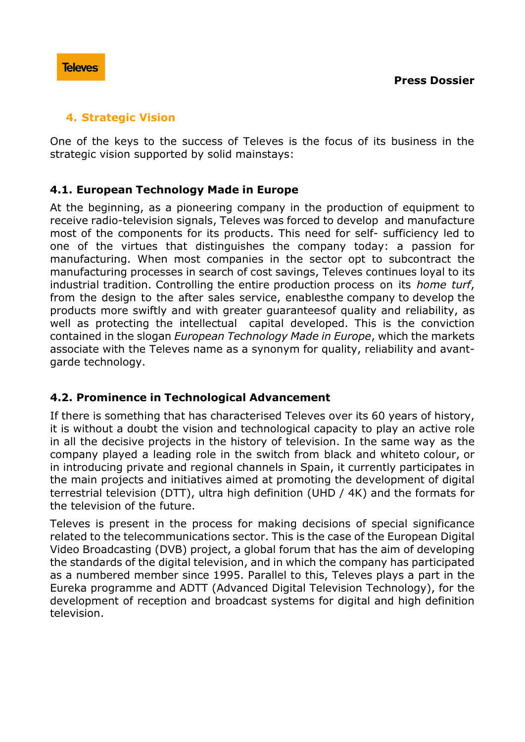## **4. Strategic Vision**

One of the keys to the success of Televes is the focus of its business in the strategic vision supported by solid mainstays:

# **4.1. European Technology Made in Europe**

At the beginning, as a pioneering company in the production of equipment to receive radio-television signals, Televes was forced to develop and manufacture most of the components for its products. This need for self- sufficiency led to one of the virtues that distinguishes the company today: a passion for manufacturing. When most companies in the sector opt to subcontract the manufacturing processes in search of cost savings, Televes continues loyal to its industrial tradition. Controlling the entire production process on its *home turf*, from the design to the after sales service, enablesthe company to develop the products more swiftly and with greater guaranteesof quality and reliability, as well as protecting the intellectual capital developed. This is the conviction contained in the slogan *European Technology Made in Europe*, which the markets associate with the Televes name as a synonym for quality, reliability and avantgarde technology.

# **4.2. Prominence in Technological Advancement**

If there is something that has characterised Televes over its 60 years of history, it is without a doubt the vision and technological capacity to play an active role in all the decisive projects in the history of television. In the same way as the company played a leading role in the switch from black and whiteto colour, or in introducing private and regional channels in Spain, it currently participates in the main projects and initiatives aimed at promoting the development of digital terrestrial television (DTT), ultra high definition (UHD / 4K) and the formats for the television of the future.

Televes is present in the process for making decisions of special significance related to the telecommunications sector. This is the case of the European Digital Video Broadcasting (DVB) project, a global forum that has the aim of developing the standards of the digital television, and in which the company has participated as a numbered member since 1995. Parallel to this, Televes plays a part in the Eureka programme and ADTT (Advanced Digital Television Technology), for the development of reception and broadcast systems for digital and high definition television.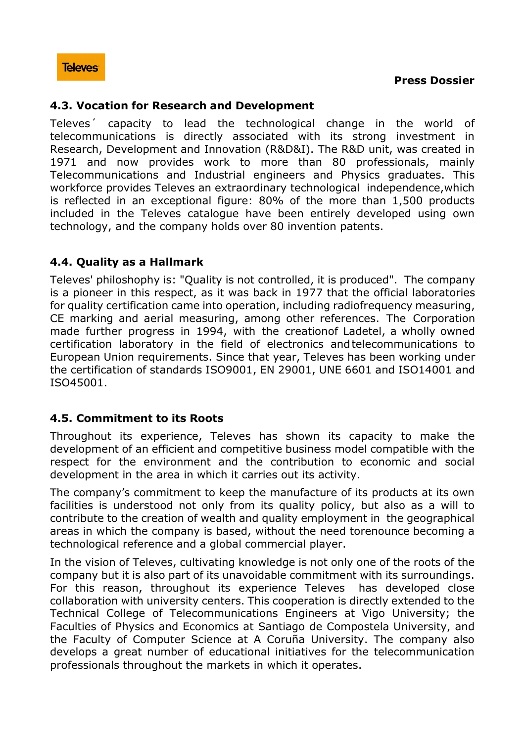## **4.3. Vocation for Research and Development**

Televes´ capacity to lead the technological change in the world of telecommunications is directly associated with its strong investment in Research, Development and Innovation (R&D&I). The R&D unit, was created in 1971 and now provides work to more than 80 professionals, mainly Telecommunications and Industrial engineers and Physics graduates. This workforce provides Televes an extraordinary technological independence,which is reflected in an exceptional figure: 80% of the more than 1,500 products included in the Televes catalogue have been entirely developed using own technology, and the company holds over 80 invention patents.

## **4.4. Quality as a Hallmark**

Televes' philoshophy is: "Quality is not controlled, it is produced". The company is a pioneer in this respect, as it was back in 1977 that the official laboratories for quality certification came into operation, including radiofrequency measuring, CE marking and aerial measuring, among other references. The Corporation made further progress in 1994, with the creationof Ladetel, a wholly owned certification laboratory in the field of electronics andtelecommunications to European Union requirements. Since that year, Televes has been working under the certification of standards ISO9001, EN 29001, UNE 6601 and ISO14001 and ISO45001.

## **4.5. Commitment to its Roots**

Throughout its experience, Televes has shown its capacity to make the development of an efficient and competitive business model compatible with the respect for the environment and the contribution to economic and social development in the area in which it carries out its activity.

The company's commitment to keep the manufacture of its products at its own facilities is understood not only from its quality policy, but also as a will to contribute to the creation of wealth and quality employment in the geographical areas in which the company is based, without the need torenounce becoming a technological reference and a global commercial player.

In the vision of Televes, cultivating knowledge is not only one of the roots of the company but it is also part of its unavoidable commitment with its surroundings. For this reason, throughout its experience Televes has developed close collaboration with university centers. This cooperation is directly extended to the Technical College of Telecommunications Engineers at Vigo University; the Faculties of Physics and Economics at Santiago de Compostela University, and the Faculty of Computer Science at A Coruña University. The company also develops a great number of educational initiatives for the telecommunication professionals throughout the markets in which it operates.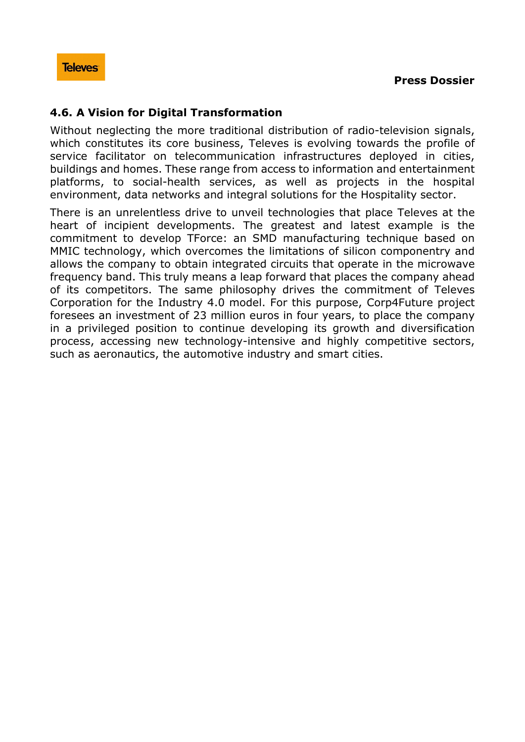## **4.6. A Vision for Digital Transformation**

Without neglecting the more traditional distribution of radio-television signals, which constitutes its core business, Televes is evolving towards the profile of service facilitator on telecommunication infrastructures deployed in cities, buildings and homes. These range from access to information and entertainment platforms, to social-health services, as well as projects in the hospital environment, data networks and integral solutions for the Hospitality sector.

There is an unrelentless drive to unveil technologies that place Televes at the heart of incipient developments. The greatest and latest example is the commitment to develop TForce: an SMD manufacturing technique based on MMIC technology, which overcomes the limitations of silicon componentry and allows the company to obtain integrated circuits that operate in the microwave frequency band. This truly means a leap forward that places the company ahead of its competitors. The same philosophy drives the commitment of Televes Corporation for the Industry 4.0 model. For this purpose, Corp4Future project foresees an investment of 23 million euros in four years, to place the company in a privileged position to continue developing its growth and diversification process, accessing new technology-intensive and highly competitive sectors, such as aeronautics, the automotive industry and smart cities.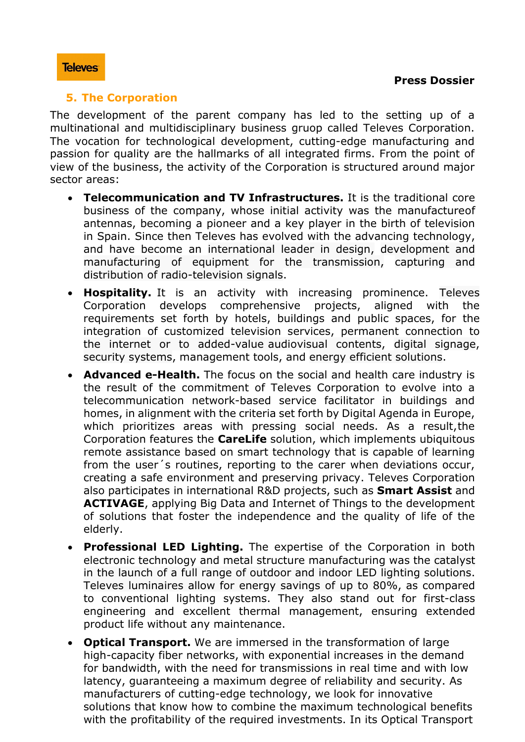## **5. The Corporation**

The development of the parent company has led to the setting up of a multinational and multidisciplinary business gruop called Televes Corporation. The vocation for technological development, cutting-edge manufacturing and passion for quality are the hallmarks of all integrated firms. From the point of view of the business, the activity of the Corporation is structured around major sector areas:

- **Telecommunication and TV Infrastructures.** It is the traditional core business of the company, whose initial activity was the manufactureof antennas, becoming a pioneer and a key player in the birth of television in Spain. Since then Televes has evolved with the advancing technology, and have become an international leader in design, development and manufacturing of equipment for the transmission, capturing and distribution of radio-television signals.
- **Hospitality.** It is an activity with increasing prominence. Televes Corporation develops comprehensive projects, aligned with the requirements set forth by hotels, buildings and public spaces, for the integration of customized television services, permanent connection to the internet or to added-value audiovisual contents, digital signage, security systems, management tools, and energy efficient solutions.
- **Advanced e-Health.** The focus on the social and health care industry is the result of the commitment of Televes Corporation to evolve into a telecommunication network-based service facilitator in buildings and homes, in alignment with the criteria set forth by Digital Agenda in Europe, which prioritizes areas with pressing social needs. As a result,the Corporation features the **CareLife** solution, which implements ubiquitous remote assistance based on smart technology that is capable of learning from the user´s routines, reporting to the carer when deviations occur, creating a safe environment and preserving privacy. Televes Corporation also participates in international R&D projects, such as **Smart Assist** and **ACTIVAGE**, applying Big Data and Internet of Things to the development of solutions that foster the independence and the quality of life of the elderly.
- **Professional LED Lighting.** The expertise of the Corporation in both electronic technology and metal structure manufacturing was the catalyst in the launch of a full range of outdoor and indoor LED lighting solutions. Televes luminaires allow for energy savings of up to 80%, as compared to conventional lighting systems. They also stand out for first-class engineering and excellent thermal management, ensuring extended product life without any maintenance.
- **Optical Transport.** We are immersed in the transformation of large high-capacity fiber networks, with exponential increases in the demand for bandwidth, with the need for transmissions in real time and with low latency, guaranteeing a maximum degree of reliability and security. As manufacturers of cutting-edge technology, we look for innovative solutions that know how to combine the maximum technological benefits with the profitability of the required investments. In its Optical Transport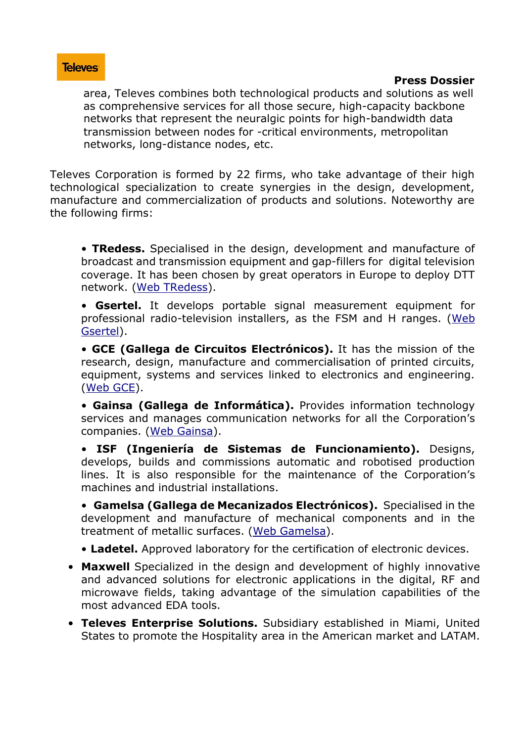#### **Press Dossier**

area, Televes combines both technological products and solutions as well as comprehensive services for all those secure, high-capacity backbone networks that represent the neuralgic points for high-bandwidth data transmission between nodes for -critical environments, metropolitan networks, long-distance nodes, etc.

Televes Corporation is formed by 22 firms, who take advantage of their high technological specialization to create synergies in the design, development, manufacture and commercialization of products and solutions. Noteworthy are the following firms:

• **TRedess.** Specialised in the design, development and manufacture of broadcast and transmission equipment and gap-fillers for digital television coverage. It has been chosen by great operators in Europe to deploy DTT network. (Web [TRedess\)](http://www.tredess.com/en).

• **Gsertel.** It develops portable signal measurement equipment for professional radio-television installers, as the FSM and H ranges. [\(Web](http://www.gsertel.com/) [Gsertel\)](http://www.gsertel.com/).

• **GCE (Gallega de Circuitos Electrónicos).** It has the mission of the research, design, manufacture and commercialisation of printed circuits, equipment, systems and services linked to electronics and engineering. [\(Web](http://www.gacem.com/) GCE).

• **Gainsa (Gallega de Informática).** Provides information technology services and manages communication networks for all the Corporation's companies. (Web [Gainsa\)](http://www.gainsa.com/).

• **ISF (Ingeniería de Sistemas de Funcionamiento).** Designs, develops, builds and commissions automatic and robotised production lines. It is also responsible for the maintenance of the Corporation's machines and industrial installations.

• **Gamelsa (Gallega de Mecanizados Electrónicos).** Specialised in the development and manufacture of mechanical components and in the treatment of metallic surfaces. (Web [Gamelsa\)](http://www.gamelsa.com/?lang=en).

• **Ladetel.** Approved laboratory for the certification of electronic devices.

- **Maxwell** Specialized in the design and development of highly innovative and advanced solutions for electronic applications in the digital, RF and microwave fields, taking advantage of the simulation capabilities of the most advanced EDA tools.
- **Televes Enterprise Solutions.** Subsidiary established in Miami, United States to promote the Hospitality area in the American market and LATAM.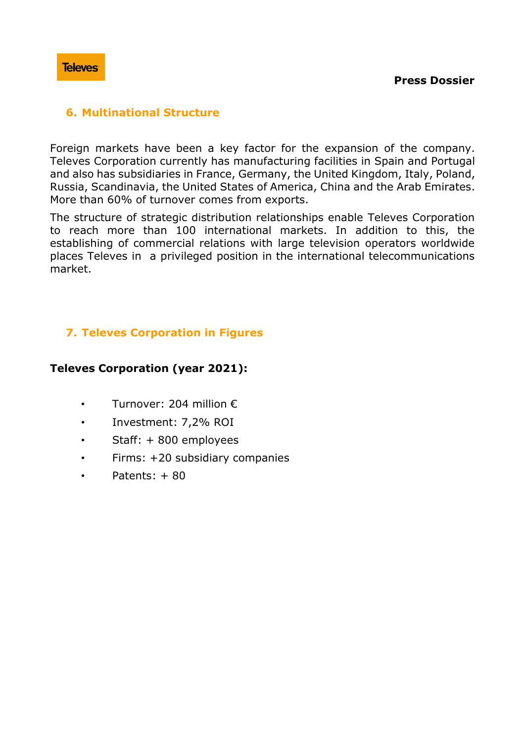

## **6. Multinational Structure**

Foreign markets have been a key factor for the expansion of the company. Televes Corporation currently has manufacturing facilities in Spain and Portugal and also has subsidiaries in France, Germany, the United Kingdom, Italy, Poland, Russia, Scandinavia, the United States of America, China and the Arab Emirates. More than 60% of turnover comes from exports.

The structure of strategic distribution relationships enable Televes Corporation to reach more than 100 international markets. In addition to this, the establishing of commercial relations with large television operators worldwide places Televes in a privileged position in the international telecommunications market.

# **7. Televes Corporation in Figures**

## **Televes Corporation (year 2021):**

- Turnover: 204 million €
- Investment: 7,2% ROI
- Staff: + 800 employees
- Firms: +20 subsidiary companies
- Patents: + 80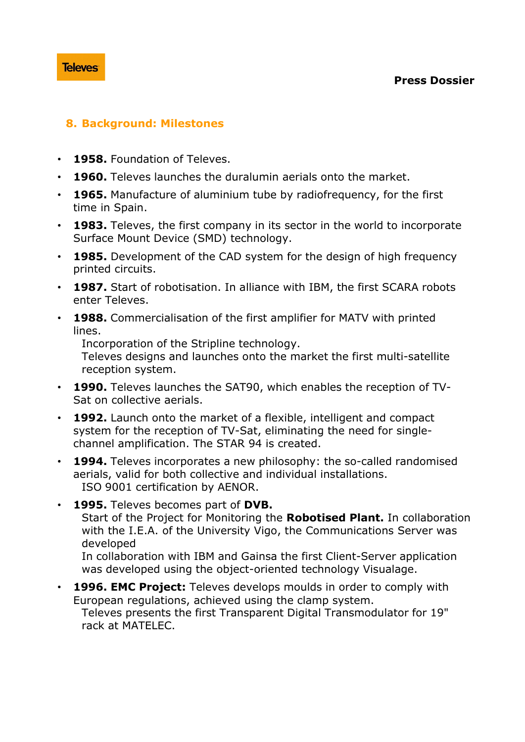## **8. Background: Milestones**

- **1958.** Foundation of Televes.
- **1960.** Televes launches the duralumin aerials onto the market.
- **1965.** Manufacture of aluminium tube by radiofrequency, for the first time in Spain.
- **1983.** Televes, the first company in its sector in the world to incorporate Surface Mount Device (SMD) technology.
- **1985.** Development of the CAD system for the design of high frequency printed circuits.
- **1987.** Start of robotisation. In alliance with IBM, the first SCARA robots enter Televes.
- **1988.** Commercialisation of the first amplifier for MATV with printed lines.

Incorporation of the Stripline technology.

Televes designs and launches onto the market the first multi-satellite reception system.

- **1990.** Televes launches the SAT90, which enables the reception of TV-Sat on collective aerials.
- **1992.** Launch onto the market of a flexible, intelligent and compact system for the reception of TV-Sat, eliminating the need for singlechannel amplification. The STAR 94 is created.
- **1994.** Televes incorporates a new philosophy: the so-called randomised aerials, valid for both collective and individual installations. ISO 9001 certification by AENOR.
- **1995.** Televes becomes part of **DVB.** Start of the Project for Monitoring the **Robotised Plant.** In collaboration with the I.E.A. of the University Vigo, the Communications Server was developed In collaboration with IBM and Gainsa the first Client-Server application

was developed using the object-oriented technology Visualage.

• **1996. EMC Project:** Televes develops moulds in order to comply with European regulations, achieved using the clamp system. Televes presents the first Transparent Digital Transmodulator for 19" rack at MATELEC.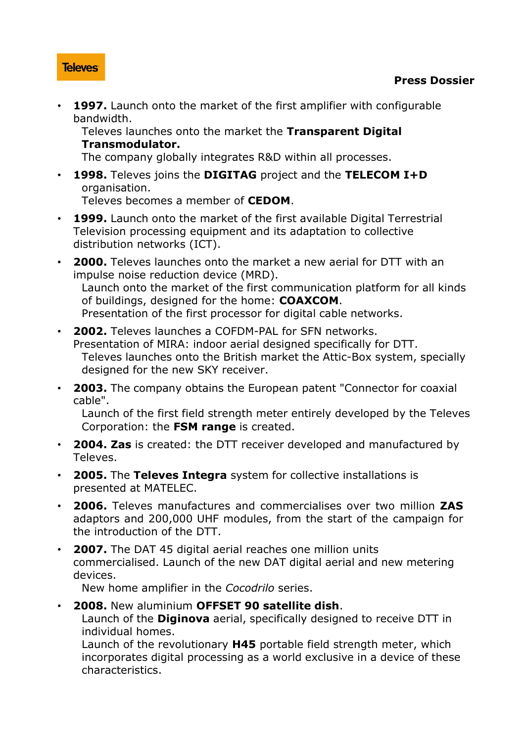• **1997.** Launch onto the market of the first amplifier with configurable bandwidth.

Televes launches onto the market the **Transparent Digital Transmodulator.**

The company globally integrates R&D within all processes.

• **1998.** Televes joins the **DIGITAG** project and the **TELECOM I+D** organisation.

Televes becomes a member of **CEDOM**.

- **1999.** Launch onto the market of the first available Digital Terrestrial Television processing equipment and its adaptation to collective distribution networks (ICT).
- **2000.** Televes launches onto the market a new aerial for DTT with an impulse noise reduction device (MRD). Launch onto the market of the first communication platform for all kinds of buildings, designed for the home: **COAXCOM**. Presentation of the first processor for digital cable networks.
- **2002.** Televes launches a COFDM-PAL for SFN networks. Presentation of MIRA: indoor aerial designed specifically for DTT. Televes launches onto the British market the Attic-Box system, specially designed for the new SKY receiver.
- **2003.** The company obtains the European patent "Connector for coaxial cable".

Launch of the first field strength meter entirely developed by the Televes Corporation: the **FSM range** is created.

- **2004. Zas** is created: the DTT receiver developed and manufactured by Televes.
- **2005.** The **Televes Integra** system for collective installations is presented at MATELEC.
- **2006.** Televes manufactures and commercialises over two million **ZAS** adaptors and 200,000 UHF modules, from the start of the campaign for the introduction of the DTT.
- **2007.** The DAT 45 digital aerial reaches one million units commercialised. Launch of the new DAT digital aerial and new metering devices.

New home amplifier in the *Cocodrilo* series.

• **2008.** New aluminium **OFFSET 90 satellite dish**.

Launch of the **Diginova** aerial, specifically designed to receive DTT in individual homes.

Launch of the revolutionary **H45** portable field strength meter, which incorporates digital processing as a world exclusive in a device of these characteristics.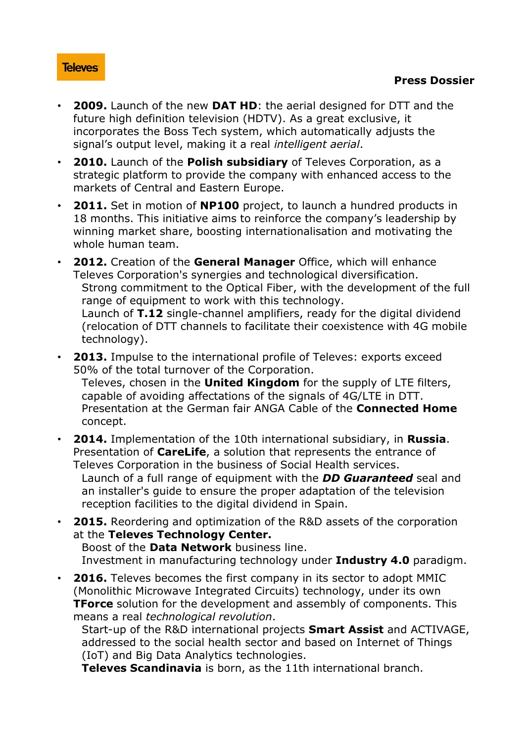- **2009.** Launch of the new **DAT HD**: the aerial designed for DTT and the future high definition television (HDTV). As a great exclusive, it incorporates the Boss Tech system, which automatically adjusts the signal's output level, making it a real *intelligent aerial*.
- **2010.** Launch of the **Polish subsidiary** of Televes Corporation, as a strategic platform to provide the company with enhanced access to the markets of Central and Eastern Europe.
- **2011.** Set in motion of **NP100** project, to launch a hundred products in 18 months. This initiative aims to reinforce the company's leadership by winning market share, boosting internationalisation and motivating the whole human team.
- **2012.** Creation of the **General Manager** Office, which will enhance Televes Corporation's synergies and technological diversification. Strong commitment to the Optical Fiber, with the development of the full range of equipment to work with this technology. Launch of **T.12** single-channel amplifiers, ready for the digital dividend (relocation of DTT channels to facilitate their coexistence with 4G mobile technology).
- **2013.** Impulse to the international profile of Televes: exports exceed 50% of the total turnover of the Corporation. Televes, chosen in the **United Kingdom** for the supply of LTE filters, capable of avoiding affectations of the signals of 4G/LTE in DTT.
	- Presentation at the German fair ANGA Cable of the **Connected Home** concept.
- **2014.** Implementation of the 10th international subsidiary, in **Russia**. Presentation of **CareLife**, a solution that represents the entrance of Televes Corporation in the business of Social Health services.

Launch of a full range of equipment with the *DD Guaranteed* seal and an installer's guide to ensure the proper adaptation of the television reception facilities to the digital dividend in Spain.

• **2015.** Reordering and optimization of the R&D assets of the corporation at the **Televes Technology Center.**

Boost of the **Data Network** business line. Investment in manufacturing technology under **Industry 4.0** paradigm.

• **2016.** Televes becomes the first company in its sector to adopt MMIC (Monolithic Microwave Integrated Circuits) technology, under its own **TForce** solution for the development and assembly of components. This means a real *technological revolution*.

Start-up of the R&D international projects **Smart Assist** and ACTIVAGE, addressed to the social health sector and based on Internet of Things (IoT) and Big Data Analytics technologies.

**Televes Scandinavia** is born, as the 11th international branch.